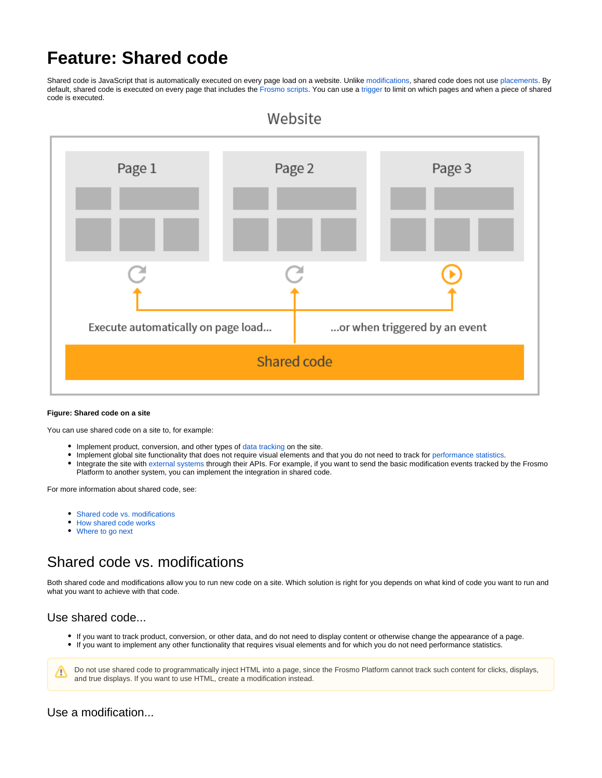# **Feature: Shared code**

Shared code is JavaScript that is automatically executed on every page load on a website. Unlike [modifications,](https://docs.frosmo.com/display/platform/Feature%3A+Modification) shared code does not use [placements](https://docs.frosmo.com/display/platform/Feature%3A+Placement). By default, shared code is executed on every page that includes the [Frosmo scripts.](https://docs.frosmo.com/display/platform/Technical+overview#Technicaloverview-FrosmoJavaScriptlibrary) You can use a [trigger](https://docs.frosmo.com/display/platform/Feature%3A+Trigger) to limit on which pages and when a piece of shared code is executed.



#### **Figure: Shared code on a site**

You can use shared code on a site to, for example:

- Implement product, conversion, and other types of [data tracking](https://docs.frosmo.com/display/platform/Data+tracking+overview) on the site.
- Implement global site functionality that does not require visual elements and that you do not need to track for [performance statistics.](https://docs.frosmo.com/display/platform/Data+collected+from+websites#Datacollectedfromwebsites-Modificationperformancedata)
- $\bullet$ Integrate the site with [external systems](https://docs.frosmo.com/display/platform/System+and+service+integrations) through their APIs. For example, if you want to send the basic modification events tracked by the Frosmo Platform to another system, you can implement the integration in shared code.

For more information about shared code, see:

- [Shared code vs. modifications](#page-0-0)
- [How shared code works](#page-1-0)
- [Where to go next](#page-1-1)

## <span id="page-0-0"></span>Shared code vs. modifications

Both shared code and modifications allow you to run new code on a site. Which solution is right for you depends on what kind of code you want to run and what you want to achieve with that code.

### Use shared code...

- If you want to track product, conversion, or other data, and do not need to display content or otherwise change the appearance of a page.
- If you want to implement any other functionality that requires visual elements and for which you do not need performance statistics.

Do not use shared code to programmatically inject HTML into a page, since the Frosmo Platform cannot track such content for clicks, displays, M and true displays. If you want to use HTML, create a modification instead.

Use a modification...